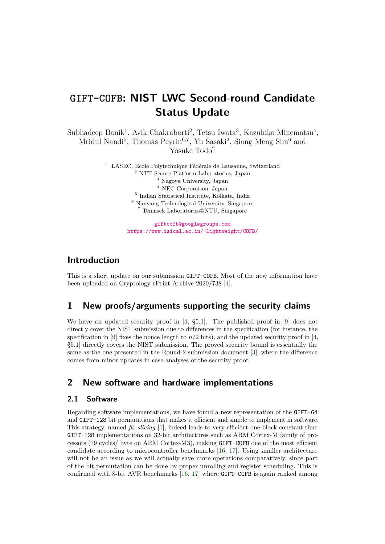# **GIFT-COFB: NIST LWC Second-round Candidate Status Update**

Subhadeep Banik<sup>1</sup>, Avik Chakraborti<sup>2</sup>, Tetsu Iwata<sup>3</sup>, Kazuhiko Minematsu<sup>4</sup>, Mridul Nandi<sup>5</sup>, Thomas Peyrin<sup>6,7</sup>, Yu Sasaki<sup>2</sup>, Siang Meng Sim<sup>6</sup> and Yosuke Todo<sup>2</sup>

> LASEC, Ecole Polytechnique Fédérale de Lausanne, Switzerland NTT Secure Platform Laboratories, Japan Nagoya University, Japan NEC Corporation, Japan Indian Statistical Institute, Kolkata, India Nanyang Technological University, Singapore Temasek Laboratories@NTU, Singapore

> > [giftcofb@googlegroups.com](mailto:giftcofb@googlegroups.com) [https://www.isical.ac.in/~lightweight/COFB/](mailto:https://www.isical.ac.in/~lightweight/COFB/)

## **Introduction**

This is a short update on our submission GIFT-COFB. Most of the new information have been uploaded on Cryptology ePrint Archive 2020/738 [\[4\]](#page-5-0).

## **1 New proofs/arguments supporting the security claims**

We have an updated security proof in [\[4,](#page-5-0) §5.1]. The published proof in [\[9\]](#page-5-1) does not directly cover the NIST submission due to differences in the specification (for instance, the specification in [\[9\]](#page-5-1) fixes the nonce length to  $n/2$  bits), and the updated security proof in [\[4,](#page-5-0) §5.1] directly covers the NIST submission. The proved security bound is essentially the same as the one presented in the Round-2 submission document  $[3]$ , where the difference comes from minor updates in case analyses of the security proof.

## **2 New software and hardware implementations**

### **2.1 Software**

Regarding software implementations, we have found a new representation of the GIFT-64 and GIFT-128 bit permutations that makes it efficient and simple to implement in software. This strategy, named *fx-slicing* [\[1\]](#page-5-3), indeed leads to very efficient one-block constant-time GIFT-128 implementations on 32-bit architectures such as ARM Cortex-M family of processors ( $79 \text{ cycles}$ ) byte on ARM Cortex-M3), making GIFT-COFB one of the most efficient candidate according to microcontroller benchmarks [\[16,](#page-6-0) [17\]](#page-6-1). Using smaller architecture will not be an issue as we will actually save more operations comparatively, since part of the bit permutation can be done by proper unrolling and register scheduling. This is confrmed with 8-bit AVR benchmarks [\[16,](#page-6-0) [17\]](#page-6-1) where GIFT-COFB is again ranked among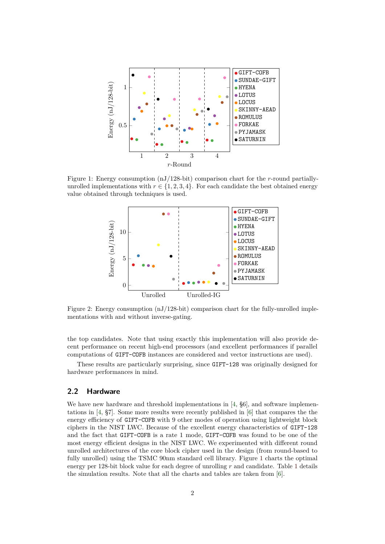<span id="page-1-0"></span>

Figure 1: Energy consumption (nJ/128-bit) comparison chart for the *r*-round partiallyunrolled implementations with  $r \in \{1, 2, 3, 4\}$ . For each candidate the best obtained energy value obtained through techniques is used.



Figure 2: Energy consumption  $(nJ/128$ -bit) comparison chart for the fully-unrolled implementations with and without inverse-gating.

the top candidates. Note that using exactly this implementation will also provide decent performance on recent high-end processors (and excellent performances if parallel computations of GIFT-COFB instances are considered and vector instructions are used).

These results are particularly surprising, since GIFT-128 was originally designed for hardware performances in mind.

#### **2.2 Hardware**

We have new hardware and threshold implementations in [\[4,](#page-5-0)  $\S6$ ], and software implementations in [\[4,](#page-5-0) §7]. Some more results were recently published in [\[6\]](#page-5-4) that compares the the energy efficiency of GIFT-COFB with 9 other modes of operation using lightweight block ciphers in the NIST LWC. Because of the excellent energy characteristics of GIFT-128 and the fact that GIFT-COFB is a rate 1 mode, GIFT-COFB was found to be one of the most energy efficient designs in the NIST LWC. We experimented with different round unrolled architectures of the core block cipher used in the design (from round-based to fully unrolled) using the TSMC 90nm standard cell library. Figure [1](#page-1-0) charts the optimal energy per 128-bit block value for each degree of unrolling *r* and candidate. Table [1](#page-2-0) details the simulation results. Note that all the charts and tables are taken from [\[6\]](#page-5-4).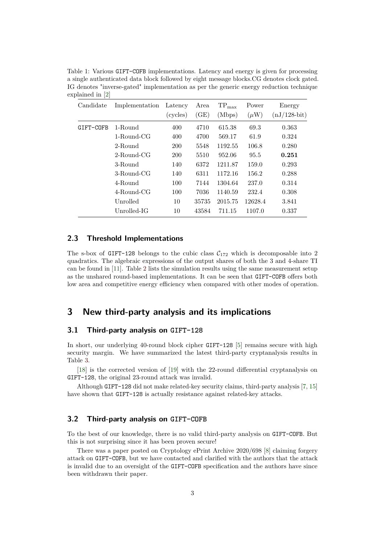| Candidate | Implementation | Latency<br>(cycles) | Area<br>(GE) | $TP_{\text{max}}$<br>(Mbps) | Power<br>$(\mu W)$ | Energy<br>$(nJ/128-bit)$ |
|-----------|----------------|---------------------|--------------|-----------------------------|--------------------|--------------------------|
| GIFT-COFB | 1-Round        | 400                 | 4710         | 615.38                      | 69.3               | 0.363                    |
|           | 1-Round-CG     | 400                 | 4700         | 569.17                      | 61.9               | 0.324                    |
|           | 2-Round        | 200                 | 5548         | 1192.55                     | 106.8              | 0.280                    |
|           | $2$ -Round-CG  | <b>200</b>          | 5510         | 952.06                      | 95.5               | 0.251                    |
|           | 3-Round        | 140                 | 6372         | 1211.87                     | 159.0              | 0.293                    |
|           | $3$ -Round-CG  | 140                 | 6311         | 1172.16                     | 156.2              | 0.288                    |
|           | 4-Round        | 100                 | 7144         | 1304.64                     | 237.0              | 0.314                    |
|           | $4$ -Round-CG  | 100                 | 7036         | 1140.59                     | 232.4              | 0.308                    |
|           | Unrolled       | 10                  | 35735        | 2015.75                     | 12628.4            | 3.841                    |
|           | Unrolled-IG    | 10                  | 43584        | 711.15                      | 1107.0             | 0.337                    |

<span id="page-2-0"></span>Table 1: Various GIFT-COFB implementations. Latency and energy is given for processing a single authenticated data block followed by eight message [blocks.CG](https://blocks.CG) denotes clock gated. IG denotes "inverse-gated" implementation as per the generic energy reduction technique explained in [\[2\]](#page-5-5)

#### **2.3 Threshold Implementations**

The s-box of GIFT-128 belongs to the cubic class  $C_{172}$  which is decomposable into 2 quadratics. The algebraic expressions of the output shares of both the 3 and 4-share TI can be found in [\[11\]](#page-5-6). Table [2](#page-3-0) lists the simulation results using the same measurement setup as the unshared round-based implementations. It can be seen that GIFT-COFB offers both low area and competitive energy efficiency when compared with other modes of operation.

## **3 New third-party analysis and its implications**

#### **3.1 Third-party analysis on GIFT-128**

In short, our underlying 40-round block cipher GIFT-128 [\[5\]](#page-5-7) remains secure with high security margin. We have summarized the latest third-party cryptanalysis results in Table [3.](#page-4-0)

 $[18]$  is the corrected version of  $[19]$  with the 22-round differential cryptanalysis on GIFT-128, the original 23-round attack was invalid.

Although GIFT-128 did not make related-key security claims, third-party analysis [\[7,](#page-5-8) [15\]](#page-6-4) have shown that GIFT-128 is actually resistance against related-key attacks.

#### **3.2 Third-party analysis on GIFT-COFB**

To the best of our knowledge, there is no valid third-party analysis on GIFT-COFB. But this is not surprising since it has been proven secure!

There was a paper posted on Cryptology ePrint Archive 2020/698 [\[8\]](#page-5-9) claiming forgery attack on GIFT-COFB, but we have contacted and clarifed with the authors that the attack is invalid due to an oversight of the GIFT-COFB specifcation and the authors have since been withdrawn their paper.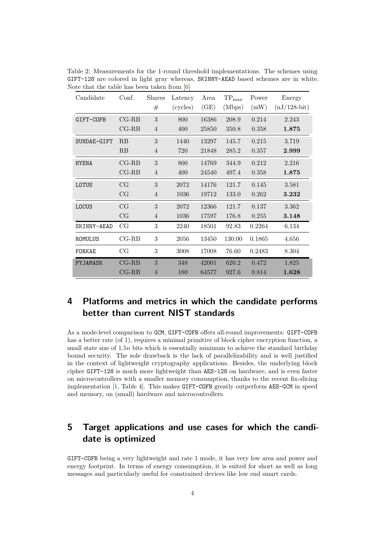| Candidate    | Conf.          | <b>Shares</b><br># | Latency<br>(cycles) | Area<br>(GE) | $\mbox{TP}_\text{max}$<br>(Mbps) | Power<br>(mW) | Energy<br>$(nJ/128-bit)$ |
|--------------|----------------|--------------------|---------------------|--------------|----------------------------------|---------------|--------------------------|
| GIFT-COFB    | $CG-RB$        | 3                  | 800                 | 16386        | 208.9                            | 0.214         | 2.243                    |
|              | $CG-RB$        | 4                  | 400                 | 25850        | 350.8                            | 0.358         | 1.875                    |
| SUNDAE-GIFT  | RB             | 3                  | 1440                | 13297        | 145.7                            | 0.215         | 3.719                    |
|              | RB             | 4                  | 720                 | 21848        | 285.2                            | 0.357         | 2.999                    |
| <b>HYENA</b> | $_{\rm CG-RB}$ | 3                  | 800                 | 14769        | 344.9                            | 0.212         | 2.216                    |
|              | $CG-RB$        | $\overline{4}$     | 400                 | 24540        | 497.4                            | 0.358         | 1.875                    |
| LOTUS        | CG             | 3                  | 2072                | 14176        | 121.7                            | 0.145         | 3.581                    |
|              | CG             | $\overline{4}$     | 1036                | 19712        | 133.0                            | 0.262         | 3.232                    |
| LOCUS        | CG             | 3                  | 2072                | 12366        | 121.7                            | 0.137         | 3.362                    |
|              | CG             | $\overline{4}$     | 1036                | 17597        | 176.8                            | 0.255         | 3.148                    |
| SKINNY-AEAD  | CG             | 3                  | 2240                | 18501        | 92.83                            | 0.2264        | 6.134                    |
| ROMULUS      | $_{\rm CG-RB}$ | 3                  | 2056                | 13450        | 130.00                           | 0.1865        | 4.656                    |
| FORKAE       | CG             | $\sqrt{3}$         | 3008                | 17008        | 76.60                            | 0.2483        | 8.304                    |
| PYJAMASK     | $CG-RB$        | 3                  | 348                 | 42001        | 620.2                            | 0.472         | 1.825                    |
|              | $_{\rm CG-RB}$ | $\overline{4}$     | 180                 | 64577        | 927.6                            | 0.814         | 1.628                    |

<span id="page-3-0"></span>Table 2: Measurements for the 1-round threshold implementations. The schemes using GIFT-128 are colored in light gray whereas, SKINNY-AEAD based schemes are in white. Note that the table has been taken from [\[6\]](#page-5-4)

## **4 Platforms and metrics in which the candidate performs better than current NIST standards**

As a mode-level comparison to GCM, GIFT-COFB offers all-round improvements: GIFT-COFB has a better rate (of 1), requires a minimal primitive of block cipher encryption function, a small state size of 1*.*5*n* bits which is essentially minimum to achieve the standard birthday bound security. The sole drawback is the lack of parallelizability and is well justifed in the context of lightweight cryptography applications. Besides, the underlying block cipher GIFT-128 is much more lightweight than AES-128 on hardware, and is even faster on microcontrollers with a smaller memory consumption, thanks to the recent fx-slicing implementation [\[1,](#page-5-3) Table 4]. This makes GIFT-COFB greatly outperform AES-GCM in speed and memory, on (small) hardware and microcontrollers.

## **5 Target applications and use cases for which the candidate is optimized**

GIFT-COFB being a very lightweight and rate 1 mode, it has very low area and power and energy footprint. In terms of energy consumption, it is suited for short as well as long messages and particularly useful for constrained devices like low end smart cards.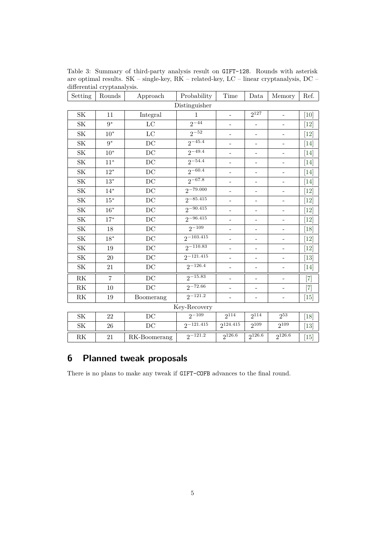| Setting                           | Rounds         | Approach            | Probability    | Time                     | Data                         | Memory                       | Ref.                         |  |  |  |
|-----------------------------------|----------------|---------------------|----------------|--------------------------|------------------------------|------------------------------|------------------------------|--|--|--|
| Distinguisher                     |                |                     |                |                          |                              |                              |                              |  |  |  |
| SK                                | 11             | Integral            | 1              | $\overline{\phantom{0}}$ | $2^{127}$                    | $\qquad \qquad -$            | [10]                         |  |  |  |
| SK                                | $9*$           | $_{\rm LC}$         | $2^{-44}$      | $\overline{\phantom{0}}$ | $\overline{a}$               | $\qquad \qquad \blacksquare$ | $[12]$                       |  |  |  |
| <b>SK</b>                         | $10*$          | $\rm LC$            | $2^{-52}$      | -                        | $\qquad \qquad -$            | $\qquad \qquad \blacksquare$ | [12]                         |  |  |  |
| <b>SK</b>                         | $9*$           | DC                  | $2^{-45.4}$    | $\overline{\phantom{0}}$ | $\qquad \qquad -$            | $\overline{\phantom{a}}$     | [14]                         |  |  |  |
| <b>SK</b>                         | $10*$          | DC                  | $2 - 49.4$     | $\overline{\phantom{0}}$ |                              |                              | $[14]$                       |  |  |  |
| <b>SK</b>                         | $11*$          | DC                  | $2^{-54.4}$    | $\overline{\phantom{0}}$ |                              |                              | [14]                         |  |  |  |
| <b>SK</b>                         | $12*$          | DC                  | $2^{-60.4}$    | $\overline{\phantom{0}}$ | $\qquad \qquad -$            | $\overline{\phantom{m}}$     | [14]                         |  |  |  |
| <b>SK</b>                         | $13*$          | DC                  | $2^{-67.8}$    | $\overline{\phantom{0}}$ | $\overline{\phantom{0}}$     | $\overline{\phantom{a}}$     | [14]                         |  |  |  |
| SK                                | $14*$          | DC                  | $2^{-79.000}$  | -                        | $\qquad \qquad -$            | $\qquad \qquad \blacksquare$ | $[12]$                       |  |  |  |
| SK                                | $15*$          | DC                  | $2^{-85.415}$  | $\overline{\phantom{0}}$ | $\overline{\phantom{0}}$     | $\overline{a}$               | $\left\lceil 12\right\rceil$ |  |  |  |
| <b>SK</b>                         | $16*$          | DC                  | $2 - 90.415$   | -                        | -                            | -                            | $[12]$                       |  |  |  |
| <b>SK</b>                         | $17^{\ast}$    | DC                  | $2^{-96.415}$  | $\overline{\phantom{0}}$ | $\overline{a}$               |                              | [12]                         |  |  |  |
| <b>SK</b>                         | 18             | DC                  | $2^{-109}$     | $\overline{\phantom{0}}$ | $\overline{\phantom{a}}$     | $\overline{a}$               | [18]                         |  |  |  |
| <b>SK</b>                         | $18*$          | $\operatorname{DC}$ | $2^{-103.415}$ | $\overline{\phantom{0}}$ | $\overline{\phantom{a}}$     | $\overline{\phantom{a}}$     | $[12]$                       |  |  |  |
| SK                                | 19             | DC                  | $2^{-110.83}$  | $\overline{\phantom{0}}$ | $\qquad \qquad -$            | $\qquad \qquad -$            | $[12]$                       |  |  |  |
| <b>SK</b>                         | 20             | $\operatorname{DC}$ | $2^{-121.415}$ | $\overline{\phantom{0}}$ | $\qquad \qquad \blacksquare$ | $\qquad \qquad \blacksquare$ | $[13]$                       |  |  |  |
| $\ensuremath{\mathbf{SK}}\xspace$ | 21             | DC                  | $2^{-126.4}$   | $\overline{\phantom{0}}$ | $\overline{a}$               | $\overline{\phantom{a}}$     | [14]                         |  |  |  |
| RK                                | $\overline{7}$ | DC                  | $2^{-15.83}$   | $\overline{\phantom{0}}$ | $\overline{\phantom{a}}$     | $\blacksquare$               | $\left[ 7\right]$            |  |  |  |
| R <sub>K</sub>                    | 10             | DC                  | $2^{-72.66}$   | $\overline{\phantom{0}}$ |                              | $\overline{a}$               | $\left[ 7\right]$            |  |  |  |
| $\mathbf{R}\mathbf{K}$            | 19             | Boomerang           | $2^{-121.2}$   | $\overline{\phantom{0}}$ |                              | $\qquad \qquad \blacksquare$ | $[15]$                       |  |  |  |
| Key-Recovery                      |                |                     |                |                          |                              |                              |                              |  |  |  |
| $\ensuremath{\mathbf{SK}}\xspace$ | 22             | DC                  | $2^{-109}$     | 2114                     | $2^{114}$                    | $2^{53}$                     | [18]                         |  |  |  |
| SK                                | 26             | DC                  | $2^{-121.415}$ | $2^{124.415}$            | $2^{109}$                    | $2^{109}$                    | $\left[13\right]$            |  |  |  |
| RK                                | 21             | RK-Boomerang        | $2^{-121.2}$   | 2126.6                   | 2126.6                       | 2126.6                       | $\left[15\right]$            |  |  |  |

<span id="page-4-0"></span>Table 3: Summary of third-party analysis result on GIFT-128. Rounds with asterisk are optimal results. SK – single-key, RK – related-key, LC – linear cryptanalysis, DC – differential cryptanalysis.

## **6 Planned tweak proposals**

There is no plans to make any tweak if GIFT-COFB advances to the fnal round.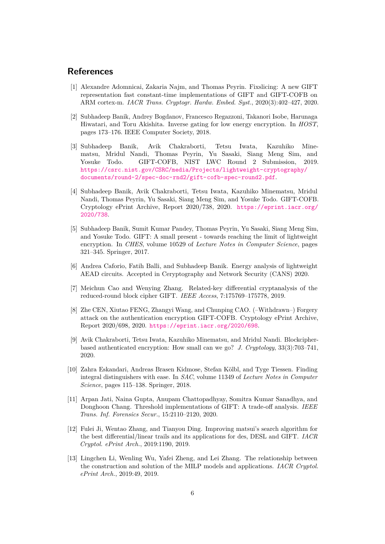### **References**

- <span id="page-5-3"></span>[1] Alexandre Adomnicai, Zakaria Najm, and Thomas Peyrin. Fixslicing: A new GIFT representation fast constant-time implementations of GIFT and GIFT-COFB on ARM cortex-m. *IACR Trans. Cryptogr. Hardw. Embed. Syst.*, 2020(3):402–427, 2020.
- <span id="page-5-5"></span>[2] Subhadeep Banik, Andrey Bogdanov, Francesco Regazzoni, Takanori Isobe, Harunaga Hiwatari, and Toru Akishita. Inverse gating for low energy encryption. In *HOST*, pages 173–176. IEEE Computer Society, 2018.
- <span id="page-5-2"></span>[3] Subhadeep Banik, Avik Chakraborti, Tetsu Iwata, Kazuhiko Minematsu, Mridul Nandi, Thomas Peyrin, Yu Sasaki, Siang Meng Sim, and Yosuke Todo. GIFT-COFB, NIST LWC Round 2 Submission, 2019. [https://csrc.nist.gov/CSRC/media/Projects/lightweight-cryptography/](https://csrc.nist.gov/CSRC/media/Projects/lightweight-cryptography/documents/round-2/spec-doc-rnd2/gift-cofb-spec-round2.pdf) [documents/round-2/spec-doc-rnd2/gift-cofb-spec-round2.pdf](https://csrc.nist.gov/CSRC/media/Projects/lightweight-cryptography/documents/round-2/spec-doc-rnd2/gift-cofb-spec-round2.pdf).
- <span id="page-5-0"></span>[4] Subhadeep Banik, Avik Chakraborti, Tetsu Iwata, Kazuhiko Minematsu, Mridul Nandi, Thomas Peyrin, Yu Sasaki, Siang Meng Sim, and Yosuke Todo. GIFT-COFB. Cryptology ePrint Archive, Report 2020/738, 2020. [https://eprint.iacr.org/](https://eprint.iacr.org/2020/738) [2020/738](https://eprint.iacr.org/2020/738).
- <span id="page-5-7"></span>[5] Subhadeep Banik, Sumit Kumar Pandey, Thomas Peyrin, Yu Sasaki, Siang Meng Sim, and Yosuke Todo. GIFT: A small present - towards reaching the limit of lightweight encryption. In *CHES*, volume 10529 of *Lecture Notes in Computer Science*, pages 321–345. Springer, 2017.
- <span id="page-5-4"></span>[6] Andrea Caforio, Fatih Balli, and Subhadeep Banik. Energy analysis of lightweight AEAD circuits. Accepted in Ceryptography and Network Security (CANS) 2020.
- <span id="page-5-8"></span>[7] Meichun Cao and Wenying Zhang. Related-key differential cryptanalysis of the reduced-round block cipher GIFT. *IEEE Access*, 7:175769–175778, 2019.
- <span id="page-5-9"></span>[8] Zhe CEN, Xiutao FENG, Zhangyi Wang, and Chunping CAO. (–Withdrawn–) Forgery attack on the authentication encryption GIFT-COFB. Cryptology ePrint Archive, Report 2020/698, 2020. <https://eprint.iacr.org/2020/698>.
- <span id="page-5-1"></span>[9] Avik Chakraborti, Tetsu Iwata, Kazuhiko Minematsu, and Mridul Nandi. Blockcipherbased authenticated encryption: How small can we go? *J. Cryptology*, 33(3):703–741, 2020.
- <span id="page-5-10"></span>[10] Zahra Eskandari, Andreas Brasen Kidmose, Stefan Kölbl, and Tyge Tiessen. Finding integral distinguishers with ease. In *SAC*, volume 11349 of *Lecture Notes in Computer Science*, pages 115–138. Springer, 2018.
- <span id="page-5-6"></span>[11] Arpan Jati, Naina Gupta, Anupam Chattopadhyay, Somitra Kumar Sanadhya, and Donghoon Chang. Threshold implementations of GIFT: A trade-off analysis. *IEEE Trans. Inf. Forensics Secur.*, 15:2110–2120, 2020.
- <span id="page-5-11"></span>[12] Fulei Ji, Wentao Zhang, and Tianyou Ding. Improving matsui's search algorithm for the best differential/linear trails and its applications for des, DESL and GIFT. *IACR Cryptol. ePrint Arch.*, 2019:1190, 2019.
- <span id="page-5-12"></span>[13] Lingchen Li, Wenling Wu, Yafei Zheng, and Lei Zhang. The relationship between the construction and solution of the MILP models and applications. *IACR Cryptol. ePrint Arch.*, 2019:49, 2019.